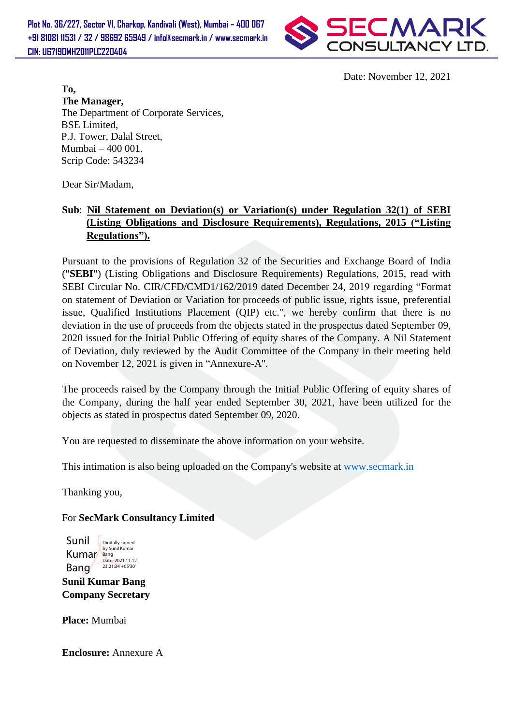**Plot No. 36/227, Sector VI, Charkop, Kandivali (West), Mumbai – 400 067 +91 81081 11531 / 32 / 98692 65949 / info@secmark.in / www.secmark.in CIN: U67190MH2011PLC220404**



Date: November 12, 2021

**To, The Manager,** The Department of Corporate Services, BSE Limited, P.J. Tower, Dalal Street, Mumbai – 400 001. Scrip Code: 543234

Dear Sir/Madam,

## **Sub**: **Nil Statement on Deviation(s) or Variation(s) under Regulation 32(1) of SEBI (Listing Obligations and Disclosure Requirements), Regulations, 2015 ("Listing Regulations").**

Pursuant to the provisions of Regulation 32 of the Securities and Exchange Board of India ("**SEBI**") (Listing Obligations and Disclosure Requirements) Regulations, 2015, read with SEBI Circular No. CIR/CFD/CMD1/162/2019 dated December 24, 2019 regarding "Format on statement of Deviation or Variation for proceeds of public issue, rights issue, preferential issue, Qualified Institutions Placement (QIP) etc.", we hereby confirm that there is no deviation in the use of proceeds from the objects stated in the prospectus dated September 09, 2020 issued for the Initial Public Offering of equity shares of the Company. A Nil Statement of Deviation, duly reviewed by the Audit Committee of the Company in their meeting held on November 12, 2021 is given in "Annexure-A''.

The proceeds raised by the Company through the Initial Public Offering of equity shares of the Company, during the half year ended September 30, 2021, have been utilized for the objects as stated in prospectus dated September 09, 2020.

You are requested to disseminate the above information on your website.

This intimation is also being uploaded on the Company's website at [www.secmark.in](http://www.secmark.in/)

Thanking you,

For **SecMark Consultancy Limited**

Sunil Kumar Bang Digitally signed by Sunil Kumar Bang<br>Date: 2021.11.12 23:21:34 +05'30'

**Sunil Kumar Bang Company Secretary**

**Place:** Mumbai

**Enclosure:** Annexure A